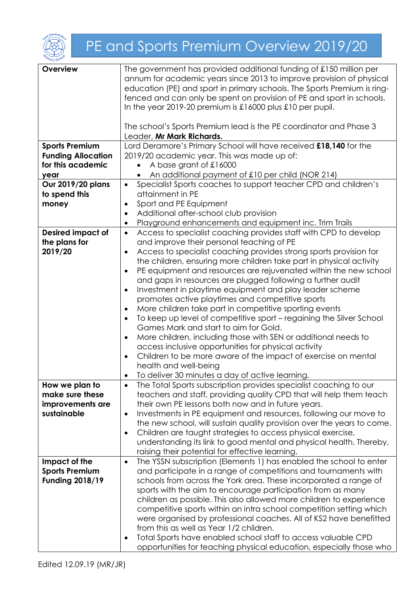

## PE and Sports Premium Overview 2019/20

| Overview                  | The government has provided additional funding of £150 million per               |
|---------------------------|----------------------------------------------------------------------------------|
|                           | annum for academic years since 2013 to improve provision of physical             |
|                           | education (PE) and sport in primary schools. The Sports Premium is ring-         |
|                           | fenced and can only be spent on provision of PE and sport in schools.            |
|                           | In the year 2019-20 premium is $\pounds16000$ plus $\pounds10$ per pupil.        |
|                           |                                                                                  |
|                           | The school's Sports Premium lead is the PE coordinator and Phase 3               |
|                           | Leader, Mr Mark Richards.                                                        |
| <b>Sports Premium</b>     | Lord Deramore's Primary School will have received £18,140 for the                |
| <b>Funding Allocation</b> | 2019/20 academic year. This was made up of:                                      |
| for this academic         | A base grant of £16000                                                           |
| year                      | An additional payment of £10 per child (NOR 214)                                 |
| Our 2019/20 plans         | Specialist Sports coaches to support teacher CPD and children's<br>$\bullet$     |
| to spend this             | attainment in PE                                                                 |
| money                     | Sport and PE Equipment<br>$\bullet$                                              |
|                           | Additional after-school club provision<br>$\bullet$                              |
|                           | Playground enhancements and equipment inc. Trim Trails<br>$\bullet$              |
| <b>Desired impact of</b>  | Access to specialist coaching provides staff with CPD to develop<br>$\bullet$    |
| the plans for             | and improve their personal teaching of PE                                        |
| 2019/20                   | Access to specialist coaching provides strong sports provision for<br>$\bullet$  |
|                           | the children, ensuring more children take part in physical activity              |
|                           | PE equipment and resources are rejuvenated within the new school<br>$\bullet$    |
|                           | and gaps in resources are plugged following a further audit                      |
|                           | Investment in playtime equipment and play leader scheme<br>$\bullet$             |
|                           | promotes active playtimes and competitive sports                                 |
|                           | More children take part in competitive sporting events<br>$\bullet$              |
|                           | To keep up level of competitive sport – regaining the Silver School<br>$\bullet$ |
|                           | Games Mark and start to aim for Gold.                                            |
|                           | More children, including those with SEN or additional needs to<br>$\bullet$      |
|                           | access inclusive opportunities for physical activity                             |
|                           | Children to be more aware of the impact of exercise on mental<br>$\bullet$       |
|                           | health and well-being                                                            |
|                           | To deliver 30 minutes a day of active learning.                                  |
| How we plan to            | The Total Sports subscription provides specialist coaching to our<br>$\bullet$   |
| make sure these           | teachers and staff, providing quality CPD that will help them teach              |
| improvements are          | their own PE lessons both now and in future years.                               |
| sustainable               | Investments in PE equipment and resources, following our move to<br>$\bullet$    |
|                           | the new school, will sustain quality provision over the years to come.           |
|                           | Children are taught strategies to access physical exercise,<br>$\bullet$         |
|                           | understanding its link to good mental and physical health. Thereby,              |
|                           | raising their potential for effective learning.                                  |
| Impact of the             | The YSSN subscription (Elements 1) has enabled the school to enter<br>$\bullet$  |
| <b>Sports Premium</b>     | and participate in a range of competitions and tournaments with                  |
| <b>Funding 2018/19</b>    | schools from across the York area. These incorporated a range of                 |
|                           | sports with the aim to encourage participation from as many                      |
|                           | children as possible. This also allowed more children to experience              |
|                           | competitive sports within an intra school competition setting which              |
|                           | were organised by professional coaches. All of KS2 have benefitted               |
|                           | from this as well as Year 1/2 children.                                          |
|                           | Total Sports have enabled school staff to access valuable CPD<br>٠               |
|                           | opportunities for teaching physical education, especially those who              |